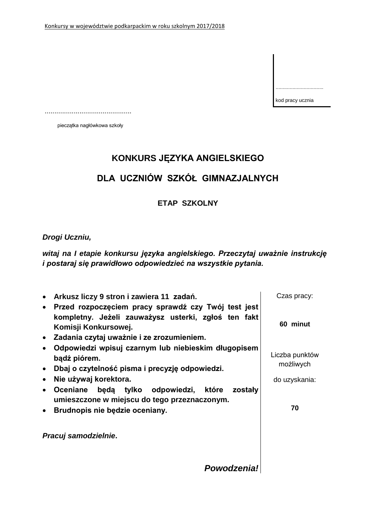| kod pracy ucznia |
|------------------|

 $\mathbf{I}$ 

.............................................

pieczątka nagłówkowa szkoły

# **KONKURS JĘZYKA ANGIELSKIEGO**

# **DLA UCZNIÓW SZKÓŁ GIMNAZJALNYCH**

# **ETAP SZKOLNY**

#### *Drogi Uczniu,*

*witaj na I etapie konkursu języka angielskiego. Przeczytaj uważnie instrukcję i postaraj się prawidłowo odpowiedzieć na wszystkie pytania.*

| Arkusz liczy 9 stron i zawiera 11 zadań.                                                                                                                                          | Czas pracy:    |
|-----------------------------------------------------------------------------------------------------------------------------------------------------------------------------------|----------------|
| Przed rozpoczęciem pracy sprawdź czy Twój test jest<br>kompletny. Jeżeli zauważysz usterki, zgłoś ten fakt<br>Komisji Konkursowej.<br>• Zadania czytaj uważnie i ze zrozumieniem. | 60 minut       |
| Odpowiedzi wpisuj czarnym lub niebieskim długopisem<br>bądź piórem.                                                                                                               | Liczba punktów |
| Dbaj o czytelność pisma i precyzję odpowiedzi.                                                                                                                                    | możliwych      |
| Nie używaj korektora.                                                                                                                                                             | do uzyskania:  |
| będą tylko odpowiedzi, które<br><b>Oceniane</b><br>zostały<br>umieszczone w miejscu do tego przeznaczonym.<br>Brudnopis nie będzie oceniany.                                      | 70             |
| Pracuj samodzielnie.                                                                                                                                                              |                |

*Powodzenia!*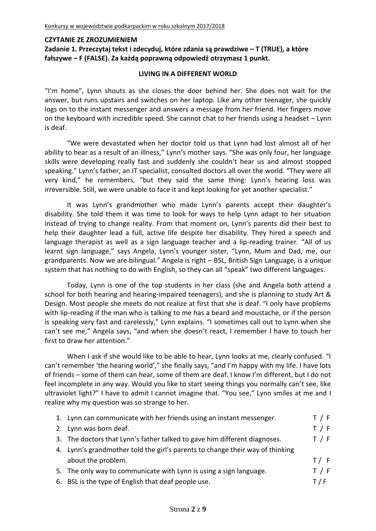#### **CZYTANIE ZE ZROZUMIENIEM**

## **Zadanie 1. Przeczytaj tekst i zdecyduj, które zdania są prawdziwe – T (TRUE), a które fałszywe – F (FALSE). Za każdą poprawną odpowiedź otrzymasz 1 punkt.**

#### **LIVING IN A DIFFERENT WORLD**

"I'm home", Lynn shouts as she closes the door behind her. She does not wait for the answer, but runs upstairs and switches on her laptop. Like any other teenager, she quickly logs on to the instant messenger and answers a message from her friend. Her fingers move on the keyboard with incredible speed. She cannot chat to her friends using a headset – Lynn is deaf.

"We were devastated when her doctor told us that Lynn had lost almost all of her ability to hear as a result of an illness," Lynn's mother says. "She was only four, her language skills were developing really fast and suddenly she couldn't hear us and almost stopped speaking." Lynn's father, an IT specialist, consulted doctors all over the world. "They were all very kind," he remembers, "but they said the same thing: Lynn's hearing loss was irreversible. Still, we were unable to face it and kept looking for yet another specialist."

It was Lynn's grandmother who made Lynn's parents accept their daughter's disability. She told them it was time to look for ways to help Lynn adapt to her situation instead of trying to change reality. From that moment on, Lynn's parents did their best to help their daughter lead a full, active life despite her disability. They hired a speech and language therapist as well as a sign language teacher and a lip-reading trainer. "All of us learnt sign language," says Angela, Lynn's younger sister, "Lynn, Mum and Dad, me, our grandparents. Now we are bilingual." Angela is right – BSL, British Sign Language, is a unique system that has nothing to do with English, so they can all "speak" two different languages.

Today, Lynn is one of the top students in her class (she and Angela both attend a school for both hearing and hearing-impaired teenagers), and she is planning to study Art & Design. Most people she meets do not realize at first that she is deaf. "I only have problems with lip-reading if the man who is talking to me has a beard and moustache, or if the person is speaking very fast and carelessly," Lynn explains. "I sometimes call out to Lynn when she can't see me," Angela says, "and when she doesn't react, I remember I have to touch her first to draw her attention."

When I ask if she would like to be able to hear, Lynn looks at me, clearly confused. "I can't remember 'the hearing world'," she finally says, "and I'm happy with my life. I have lots of friends – some of them can hear, some of them are deaf. I know I'm different, but I do not feel incomplete in any way. Would you like to start seeing things you normally can't see, like ultraviolet light?" I have to admit I cannot imagine that. "You see," Lynn smiles at me and I realize why my question was so strange to her.

| 1. Lynn can communicate with her friends using an instant messenger.          | T / F |
|-------------------------------------------------------------------------------|-------|
| 2. Lynn was born deaf.                                                        | T / F |
| 3. The doctors that Lynn's father talked to gave him different diagnoses.     | T / F |
| 4. Lynn's grandmother told the girl's parents to change their way of thinking |       |
| about the problem.                                                            | T / F |
| 5. The only way to communicate with Lynn is using a sign language.            | T / F |
| 6. BSL is the type of English that deaf people use.                           | T / F |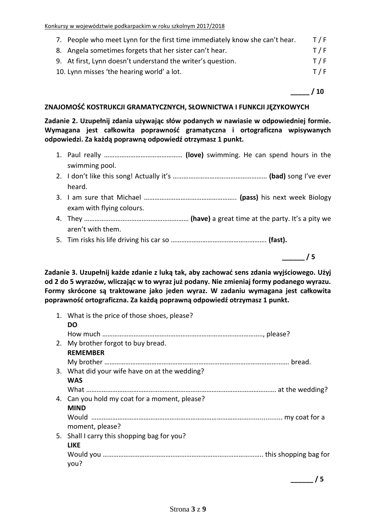| 7. People who meet Lynn for the first time immediately know she can't hear. | T/F |
|-----------------------------------------------------------------------------|-----|
| 8. Angela sometimes forgets that her sister can't hear.                     | T/F |
| 9. At first, Lynn doesn't understand the writer's question.                 | T/F |
| 10. Lynn misses 'the hearing world' a lot.                                  | T/F |

**\_\_\_\_\_ / 10**

#### **ZNAJOMOŚĆ KOSTRUKCJI GRAMATYCZNYCH, SŁOWNICTWA I FUNKCJI JĘZYKOWYCH**

**Zadanie 2. Uzupełnij zdania używając słów podanych w nawiasie w odpowiedniej formie. Wymagana jest całkowita poprawność gramatyczna i ortograficzna wpisywanych odpowiedzi. Za każdą poprawną odpowiedź otrzymasz 1 punkt.**

- 1. Paul really ……………………………………… **(love)** swimming. He can spend hours in the swimming pool.
- 2. I don't like this song! Actually it's ……………………………………………… **(bad)** song I've ever heard.
- 3. I am sure that Michael …………………………………………….. **(pass)** his next week Biology exam with flying colours.
- 4. They …………………………………………………… **(have)** a great time at the party. It's a pity we aren't with them.
- 5. Tim risks his life driving his car so ………………………………………………. **(fast).**

**\_\_\_\_\_\_ / 5**

**Zadanie 3. Uzupełnij każde zdanie z luką tak, aby zachować sens zdania wyjściowego. Użyj od 2 do 5 wyrazów, wliczając w to wyraz już podany. Nie zmieniaj formy podanego wyrazu. Formy skrócone są traktowane jako jeden wyraz. W zadaniu wymagana jest całkowita poprawność ortograficzna. Za każdą poprawną odpowiedź otrzymasz 1 punkt.**

| 1. What is the price of those shoes, please?  |
|-----------------------------------------------|
| DO                                            |
|                                               |
| 2. My brother forgot to buy bread.            |
| <b>REMEMBER</b>                               |
|                                               |
| 3. What did your wife have on at the wedding? |
| <b>WAS</b>                                    |
|                                               |
| 4. Can you hold my coat for a moment, please? |
| <b>MIND</b>                                   |
|                                               |
| moment, please?                               |
| 5. Shall I carry this shopping bag for you?   |
| <b>LIKE</b>                                   |
|                                               |
| you?                                          |
|                                               |

**\_\_\_\_\_\_ / 5**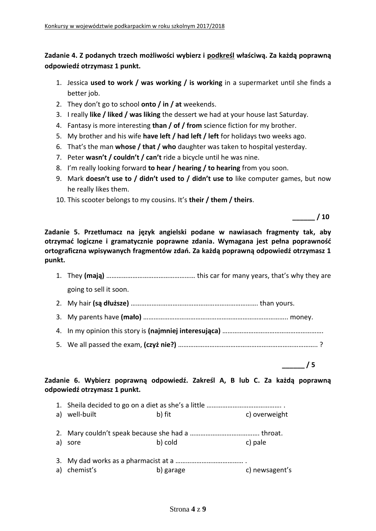**Zadanie 4. Z podanych trzech możliwości wybierz i podkreśl właściwą. Za każdą poprawną odpowiedź otrzymasz 1 punkt.**

- 1. Jessica **used to work / was working / is working** in a supermarket until she finds a better job.
- 2. They don't go to school **onto / in / at** weekends.
- 3. I really **like / liked / was liking** the dessert we had at your house last Saturday.
- 4. Fantasy is more interesting **than / of / from** science fiction for my brother.
- 5. My brother and his wife **have left / had left / left** for holidays two weeks ago.
- 6. That's the man **whose / that / who** daughter was taken to hospital yesterday.
- 7. Peter **wasn't / couldn't / can't** ride a bicycle until he was nine.
- 8. I'm really looking forward **to hear / hearing / to hearing** from you soon.
- 9. Mark **doesn't use to / didn't used to / didn't use to** like computer games, but now he really likes them.
- 10. This scooter belongs to my cousins. It's **their / them / theirs**.

**\_\_\_\_\_\_ / 10**

**Zadanie 5. Przetłumacz na język angielski podane w nawiasach fragmenty tak, aby otrzymać logiczne i gramatycznie poprawne zdania. Wymagana jest pełna poprawność ortograficzna wpisywanych fragmentów zdań. Za każdą poprawną odpowiedź otrzymasz 1 punkt.**

- 1. They **(mają)** …………………………………………… this car for many years, that's why they are going to sell it soon.
- 2. My hair **(są dłuższe)** ………………………………………………………………. than yours.
- 3. My parents have **(mało)** ……………………………………………………………………….. money.
- 4. In my opinion this story is **(najmniej interesująca)** ………………………………………………….
- 5. We all passed the exam, **(czyż nie?)** …………………………………………………………………….. ?

**\_\_\_\_\_\_ / 5**

**Zadanie 6. Wybierz poprawną odpowiedź. Zakreśl A, B lub C. Za każdą poprawną odpowiedź otrzymasz 1 punkt.**

|    | a) well-built | b) fit    | c) overweight  |  |
|----|---------------|-----------|----------------|--|
| a) | sore          | b) cold   | c) pale        |  |
|    |               |           |                |  |
|    | a) chemist's  | b) garage | c) newsagent's |  |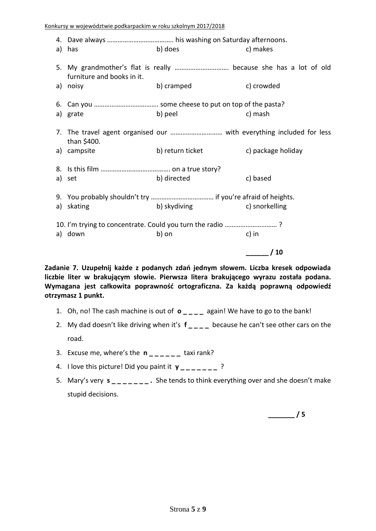Konkursy w województwie podkarpackim w roku szkolnym 2017/2018

|                                                           | a) has                                                                              | b) does                                                                                                                                                                                                                        | c) makes                                                         |
|-----------------------------------------------------------|-------------------------------------------------------------------------------------|--------------------------------------------------------------------------------------------------------------------------------------------------------------------------------------------------------------------------------|------------------------------------------------------------------|
|                                                           | furniture and books in it.                                                          |                                                                                                                                                                                                                                | 5. My grandmother's flat is really  because she has a lot of old |
|                                                           | a) noisy                                                                            | b) cramped                                                                                                                                                                                                                     | c) crowded                                                       |
|                                                           | a) grate                                                                            | b) peel                                                                                                                                                                                                                        | c) mash                                                          |
|                                                           | 7. The travel agent organised our  with everything included for less<br>than \$400. |                                                                                                                                                                                                                                |                                                                  |
|                                                           | a) campsite                                                                         | b) return ticket                                                                                                                                                                                                               | c) package holiday                                               |
|                                                           |                                                                                     |                                                                                                                                                                                                                                |                                                                  |
|                                                           | a) set                                                                              | b) directed                                                                                                                                                                                                                    | c) based                                                         |
|                                                           |                                                                                     |                                                                                                                                                                                                                                |                                                                  |
|                                                           | a) skating                                                                          | b) skydiving by the state of the state of the state of the state of the state of the state of the state of the state of the state of the state of the state of the state of the state of the state of the state of the state o | c) snorkelling                                                   |
| 10. I'm trying to concentrate. Could you turn the radio ? |                                                                                     |                                                                                                                                                                                                                                |                                                                  |
|                                                           | a) down                                                                             | b) on                                                                                                                                                                                                                          | c) in                                                            |
|                                                           |                                                                                     |                                                                                                                                                                                                                                | / 10                                                             |
|                                                           |                                                                                     |                                                                                                                                                                                                                                |                                                                  |

**Zadanie 7. Uzupełnij każde z podanych zdań jednym słowem. Liczba kresek odpowiada liczbie liter w brakującym słowie. Pierwsza litera brakującego wyrazu została podana. Wymagana jest całkowita poprawność ortograficzna. Za każdą poprawną odpowiedź otrzymasz 1 punkt.**

- 1. Oh, no! The cash machine is out of **o \_ \_ \_ \_** again! We have to go to the bank!
- 2. My dad doesn't like driving when it's **f \_ \_ \_ \_** because he can't see other cars on the road.
- 3. Excuse me, where's the  $n_{\text{max}} = 1$  taxi rank?
- 4. I love this picture! Did you paint it **y \_ \_ \_ \_ \_ \_ \_** ?
- 5. Mary's very **s \_ \_ \_ \_ \_ \_ \_ .** She tends to think everything over and she doesn't make stupid decisions.

**\_\_\_\_\_\_\_ / 5**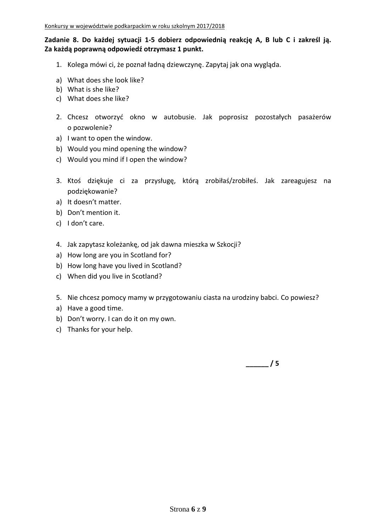## **Zadanie 8. Do każdej sytuacji 1-5 dobierz odpowiednią reakcję A, B lub C i zakreśl ją. Za każdą poprawną odpowiedź otrzymasz 1 punkt.**

- 1. Kolega mówi ci, że poznał ładną dziewczynę. Zapytaj jak ona wygląda.
- a) What does she look like?
- b) What is she like?
- c) What does she like?
- 2. Chcesz otworzyć okno w autobusie. Jak poprosisz pozostałych pasażerów o pozwolenie?
- a) I want to open the window.
- b) Would you mind opening the window?
- c) Would you mind if I open the window?
- 3. Ktoś dziękuje ci za przysługę, którą zrobiłaś/zrobiłeś. Jak zareagujesz na podziękowanie?
- a) It doesn't matter.
- b) Don't mention it.
- c) I don't care.
- 4. Jak zapytasz koleżankę, od jak dawna mieszka w Szkocji?
- a) How long are you in Scotland for?
- b) How long have you lived in Scotland?
- c) When did you live in Scotland?
- 5. Nie chcesz pomocy mamy w przygotowaniu ciasta na urodziny babci. Co powiesz?
- a) Have a good time.
- b) Don't worry. I can do it on my own.
- c) Thanks for your help.

**\_\_\_\_\_\_ / 5**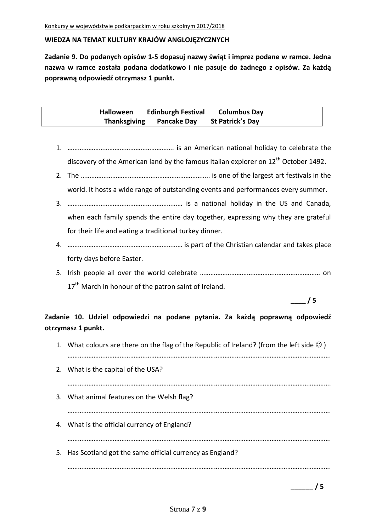# **WIEDZA NA TEMAT KULTURY KRAJÓW ANGLOJĘZYCZNYCH**

**Zadanie 9. Do podanych opisów 1-5 dopasuj nazwy świąt i imprez podane w ramce. Jedna nazwa w ramce została podana dodatkowo i nie pasuje do żadnego z opisów. Za każdą poprawną odpowiedź otrzymasz 1 punkt.**

|    | <b>Edinburgh Festival</b><br><b>Halloween</b><br><b>Columbus Day</b><br><b>Pancake Day</b><br><b>St Patrick's Day</b><br><b>Thanksgiving</b> |
|----|----------------------------------------------------------------------------------------------------------------------------------------------|
|    |                                                                                                                                              |
|    |                                                                                                                                              |
|    | discovery of the American land by the famous Italian explorer on 12 <sup>th</sup> October 1492.                                              |
|    |                                                                                                                                              |
|    | world. It hosts a wide range of outstanding events and performances every summer.                                                            |
| 3. |                                                                                                                                              |
|    | when each family spends the entire day together, expressing why they are grateful                                                            |
|    | for their life and eating a traditional turkey dinner.                                                                                       |
|    |                                                                                                                                              |
|    | forty days before Easter.                                                                                                                    |
|    |                                                                                                                                              |
|    | 17 <sup>th</sup> March in honour of the patron saint of Ireland.                                                                             |
|    | /5                                                                                                                                           |
|    | Zadanie 10. Udziel odpowiedzi na podane pytania. Za każdą poprawną odpowiedź<br>otrzymasz 1 punkt.                                           |
|    | 1. What colours are there on the flag of the Republic of Ireland? (from the left side $\circledcirc$ )                                       |
|    | 2. What is the capital of the USA?                                                                                                           |
|    |                                                                                                                                              |
| 4. | 3. What animal features on the Welsh flag?                                                                                                   |
|    | What is the official currency of England?                                                                                                    |
| 5. | Has Scotland got the same official currency as England?                                                                                      |

**\_\_\_\_\_\_ / 5**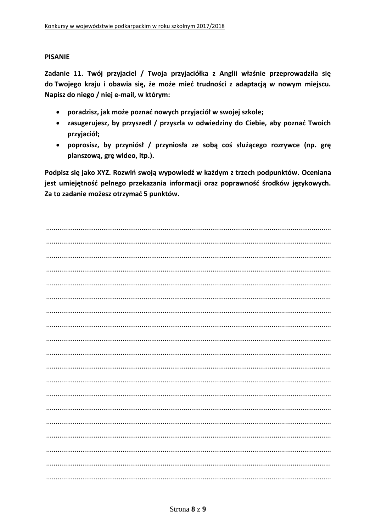#### **PISANIE**

Zadanie 11. Twój przyjaciel / Twoja przyjaciółka z Anglii właśnie przeprowadziła się do Twojego kraju i obawia się, że może mieć trudności z adaptacją w nowym miejscu. Napisz do niego / niej e-mail, w którym:

- · poradzisz, jak może poznać nowych przyjaciół w swojej szkole;
- zasugerujesz, by przyszedł / przyszła w odwiedziny do Ciebie, aby poznać Twoich przyjaciół;
- · poprosisz, by przyniósł / przyniosła ze sobą coś służącego rozrywce (np. grę planszową, grę wideo, itp.).

Podpisz się jako XYZ. Rozwiń swoją wypowiedź w każdym z trzech podpunktów. Oceniana jest umiejętność pełnego przekazania informacji oraz poprawność środków językowych. Za to zadanie możesz otrzymać 5 punktów.